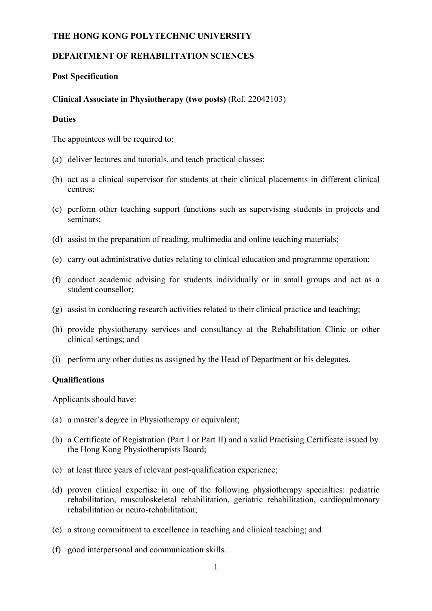#### **THE HONG KONG POLYTECHNIC UNIVERSITY**

# **DEPARTMENT OF REHABILITATION SCIENCES**

### **Post Specification**

## **Clinical Associate in Physiotherapy (two posts)** (Ref. 22042103)

## **Duties**

The appointees will be required to:

- (a) deliver lectures and tutorials, and teach practical classes;
- (b) act as a clinical supervisor for students at their clinical placements in different clinical centres;
- (c) perform other teaching support functions such as supervising students in projects and seminars;
- (d) assist in the preparation of reading, multimedia and online teaching materials;
- (e) carry out administrative duties relating to clinical education and programme operation;
- (f) conduct academic advising for students individually or in small groups and act as a student counsellor;
- (g) assist in conducting research activities related to their clinical practice and teaching;
- (h) provide physiotherapy services and consultancy at the Rehabilitation Clinic or other clinical settings; and
- (i) perform any other duties as assigned by the Head of Department or his delegates.

# **Qualifications**

Applicants should have:

- (a) a master's degree in Physiotherapy or equivalent;
- (b) a Certificate of Registration (Part I or Part II) and a valid Practising Certificate issued by the Hong Kong Physiotherapists Board;
- (c) at least three years of relevant post-qualification experience;
- (d) proven clinical expertise in one of the following physiotherapy specialties: pediatric rehabilitation, musculoskeletal rehabilitation, geriatric rehabilitation, cardiopulmonary rehabilitation or neuro-rehabilitation;
- (e) a strong commitment to excellence in teaching and clinical teaching; and
- (f) good interpersonal and communication skills.